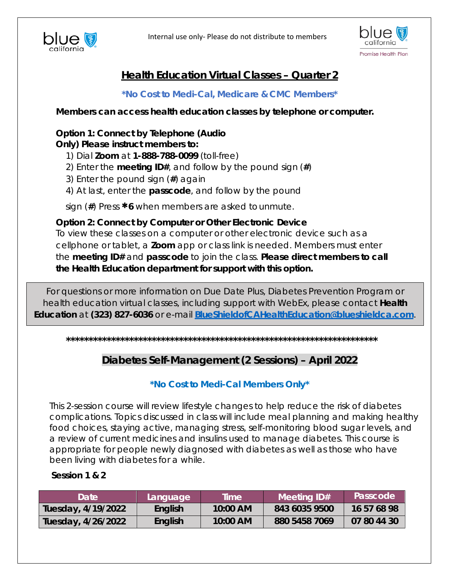



# **Health Education Virtual Classes – Quarter 2**

*\*No Cost to Medi-Cal, Medicare & CMC Members\**

**Members can access health education classes by telephone or computer.**

# *Option 1:* **Connect by Telephone (***Audio*

*Only***) Please instruct members to:**

- 1) Dial **Zoom** at **1-888-788-0099** (toll-free)
- 2) Enter the **meeting ID#**, and follow by the pound sign (**#**)
- 3) Enter the pound sign (**#**) again
- 4) At last, enter the **passcode**, and follow by the pound

sign (**#**) Press ∗**<sup>6</sup>**when members are asked tounmute.

*Option 2:* **Connect by Computer or Other Electronic Device**

To view these classes on a computer or other electronic device such as a cellphone or tablet, a **Zoom** app or class link is needed. Members must enter the **meeting ID#** and **passcode** to join the class. *Please direct members to call the Health Education department for support with this option.*

For questions or more information on Due Date Plus, Diabetes Prevention Program or health education virtual classes, including support with WebEx, please contact **Health Education** at **(323) 827-6036** or e-mail **[BlueShieldofCAHealthEducation@blueshieldca.com](mailto:BlueShieldofCAHealthEducation@blueshieldca.com)**.

**\*\*\*\*\*\*\*\*\*\*\*\*\*\*\*\*\*\*\*\*\*\*\*\*\*\*\*\*\*\*\*\*\*\*\*\*\*\*\*\*\*\*\*\*\*\*\*\*\*\*\*\*\*\*\*\*\*\*\*\*\*\*\*\*\*\*\*\*\***

# **Diabetes Self-Management (2 Sessions) – April 2022**

# **\*No Cost to Medi-Cal Members Only\***

This 2-session course will review lifestyle changes to help reduce the risk of diabetes complications. Topics discussed in class will include meal planning and making healthy food choices, staying active, managing stress, self-monitoring blood sugar levels, and a review of current medicines and insulins used to manage diabetes. This course is appropriate for people newly diagnosed with diabetes as well as those who have been living with diabetes for a while.

#### **Session 1 & 2**

| <b>Date</b>        | Language | <b>Time</b> | Meeting ID#   | <b>Passcode</b> |
|--------------------|----------|-------------|---------------|-----------------|
| Tuesday, 4/19/2022 | English  | $10:00$ AM  | 843 6035 9500 | 16 57 68 98     |
| Tuesday, 4/26/2022 | English  | $10:00$ AM  | 880 5458 7069 | 07 80 44 30     |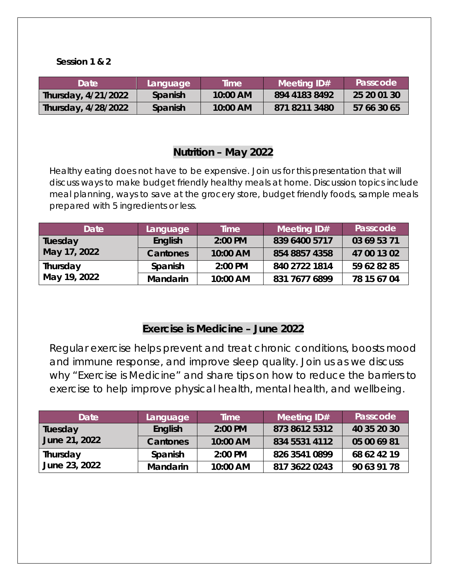#### **Session 1 & 2**

| Date                | Language | Time     | Meeting ID#   | Passcode    |
|---------------------|----------|----------|---------------|-------------|
| Thursday, 4/21/2022 | Spanish  | 10:00 AM | 894 4183 8492 | 25 20 01 30 |
| Thursday, 4/28/2022 | Spanish  | 10:00 AM | 871 8211 3480 | 57 66 30 65 |

## **Nutrition – May 2022**

Healthy eating does not have to be expensive. Join us for this presentation that will discuss ways to make budget friendly healthy meals at home. Discussion topics include meal planning, ways to save at the grocery store, budget friendly foods, sample meals prepared with 5 ingredients or less.

| <b>Date</b>              | Language        | <b>Time</b> | Meeting ID#   | Passcode    |
|--------------------------|-----------------|-------------|---------------|-------------|
| Tuesday<br>May 17, 2022  | <b>English</b>  | 2:00 PM     | 839 6400 5717 | 03 69 53 71 |
|                          | Cantones        | 10:00 AM    | 854 8857 4358 | 47 00 13 02 |
| Thursday<br>May 19, 2022 | Spanish         | 2:00 PM     | 840 2722 1814 | 59 62 82 85 |
|                          | <b>Mandarin</b> | 10:00 AM    | 831 7677 6899 | 78 15 67 04 |

# **Exercise is Medicine – June 2022**

Regular exercise helps prevent and treat chronic conditions, boosts mood and immune response, and improve sleep quality. Join us as we discuss why "Exercise is Medicine" and share tips on how to reduce the barriers to exercise to help improve physical health, mental health, and wellbeing.

| Date                      | Language        | Time     | Meeting ID#   | Passcode    |
|---------------------------|-----------------|----------|---------------|-------------|
| Tuesday<br>June 21, 2022  | English         | 2:00 PM  | 873 8612 5312 | 40 35 20 30 |
|                           | Cantones        | 10:00 AM | 834 5531 4112 | 05 00 69 81 |
| Thursday<br>June 23, 2022 | Spanish         | 2:00 PM  | 826 3541 0899 | 68 62 42 19 |
|                           | <b>Mandarin</b> | 10:00 AM | 817 3622 0243 | 90 63 91 78 |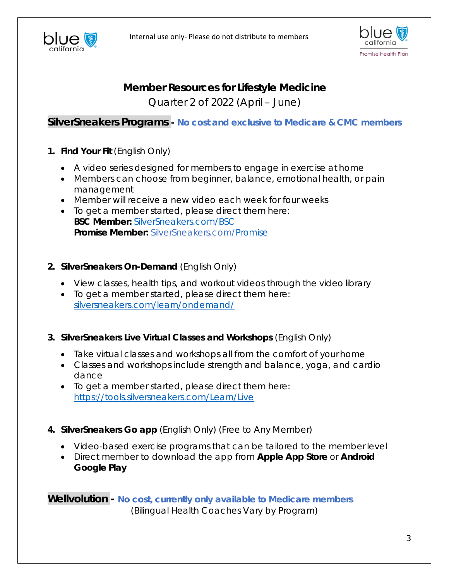



# **Member Resources for Lifestyle Medicine**

Quarter 2 of 2022 (April – June)

## **SilverSneakers Programs -** *No cost and exclusive to Medicare & CMC members*

- *1.* **Find Your Fit** *(English Only)*
	- A video series designed for members to engage in exercise at home
	- Members can choose from beginner, balance, emotional health, or pain management
	- Member will receive a new video each week for four weeks
	- To get a member started, please direct them here: **BSC Member:** [SilverSneakers.com/BSC](https://go.silversneakers.com/find-your-fit-2020-national?utm_campaign=FYF%202020%20National%20Campaign&utm_source=print&utm_medium=FYF%20Client&utm_content=FYF%20BSC) **Promise Member:** SilverSneakers.com[/Promise](https://go.silversneakers.com/find-your-fit-2020-national?utm_campaign=FYF%202020%20National%20Campaign&utm_source=print&utm_medium=FYF%20Client&utm_content=FYF%20Promise)

#### *2.* **SilverSneakers On-Demand** *(English Only)*

- View classes, health tips, and workout videos through the video library
- To get a member started, please direct them here: [silversneakers.com/learn/ondemand/](https://www.silversneakers.com/learn/ondemand/)
- *3.* **SilverSneakers Live Virtual Classes and Workshops** *(English Only)*
	- Take virtual classes and workshops all from the comfort of your home
	- Classes and workshops include strength and balance, yoga, and cardio dance
	- To get a member started, please direct them here: <https://tools.silversneakers.com/Learn/Live>
- *4.* **SilverSneakers Go app** *(English Only) (Free to Any Member)*
	- Video-based exercise programs that can be tailored to the member level
	- Direct member to download the app from **Apple App Store** or **Android Google Play**

**Wellvolution -** *No cost, currently only available to Medicare members (Bilingual Health Coaches Vary by Program)*